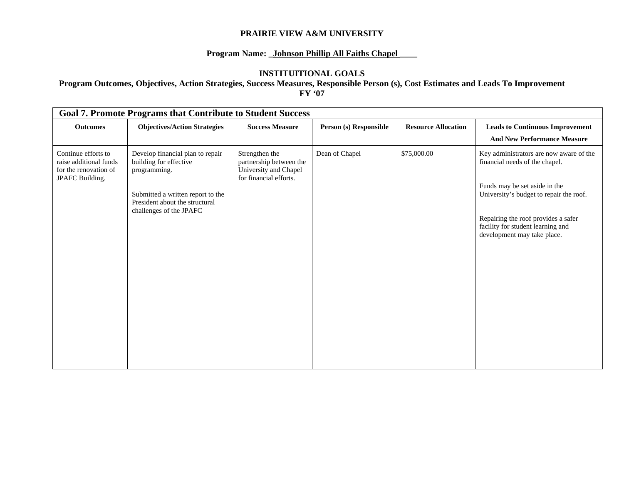## **Program Name: \_Johnson Phillip All Faiths Chapel \_\_\_\_**

#### **INSTITUITIONAL GOALS**

| <b>Goal 7. Promote Programs that Contribute to Student Success</b>                             |                                                                                              |                        |                            |                                                                                                         |  |  |  |  |  |
|------------------------------------------------------------------------------------------------|----------------------------------------------------------------------------------------------|------------------------|----------------------------|---------------------------------------------------------------------------------------------------------|--|--|--|--|--|
| <b>Objectives/Action Strategies</b>                                                            | <b>Success Measure</b>                                                                       | Person (s) Responsible | <b>Resource Allocation</b> | <b>Leads to Continuous Improvement</b>                                                                  |  |  |  |  |  |
|                                                                                                |                                                                                              |                        |                            | <b>And New Performance Measure</b>                                                                      |  |  |  |  |  |
| Develop financial plan to repair<br>building for effective<br>programming.                     | Strengthen the<br>partnership between the<br>University and Chapel<br>for financial efforts. | Dean of Chapel         | \$75,000.00                | Key administrators are now aware of the<br>financial needs of the chapel.                               |  |  |  |  |  |
| Submitted a written report to the<br>President about the structural<br>challenges of the JPAFC |                                                                                              |                        |                            | Funds may be set aside in the<br>University's budget to repair the roof.                                |  |  |  |  |  |
|                                                                                                |                                                                                              |                        |                            | Repairing the roof provides a safer<br>facility for student learning and<br>development may take place. |  |  |  |  |  |
|                                                                                                |                                                                                              |                        |                            |                                                                                                         |  |  |  |  |  |
|                                                                                                |                                                                                              |                        |                            |                                                                                                         |  |  |  |  |  |
|                                                                                                |                                                                                              |                        |                            |                                                                                                         |  |  |  |  |  |
|                                                                                                |                                                                                              |                        |                            |                                                                                                         |  |  |  |  |  |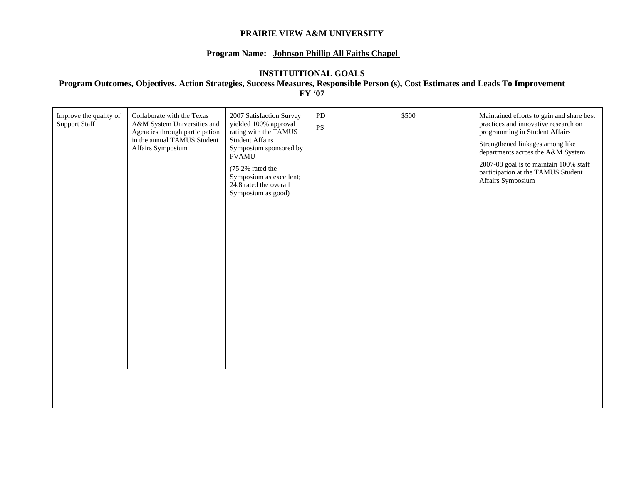### **Program Name: \_Johnson Phillip All Faiths Chapel \_\_\_\_**

#### **INSTITUITIONAL GOALS**

| Improve the quality of<br><b>Support Staff</b> | Collaborate with the Texas<br>A&M System Universities and<br>Agencies through participation<br>in the annual TAMUS Student<br>Affairs Symposium | 2007 Satisfaction Survey<br>yielded 100% approval<br>rating with the TAMUS<br><b>Student Affairs</b><br>Symposium sponsored by<br><b>PVAMU</b><br>(75.2% rated the<br>Symposium as excellent;<br>24.8 rated the overall<br>Symposium as good) | PD<br>$\mathbf{P}\mathbf{S}$ | \$500 | Maintained efforts to gain and share best<br>practices and innovative research on<br>programming in Student Affairs<br>Strengthened linkages among like<br>departments across the A&M System<br>2007-08 goal is to maintain 100% staff<br>participation at the TAMUS Student<br>Affairs Symposium |
|------------------------------------------------|-------------------------------------------------------------------------------------------------------------------------------------------------|-----------------------------------------------------------------------------------------------------------------------------------------------------------------------------------------------------------------------------------------------|------------------------------|-------|---------------------------------------------------------------------------------------------------------------------------------------------------------------------------------------------------------------------------------------------------------------------------------------------------|
|                                                |                                                                                                                                                 |                                                                                                                                                                                                                                               |                              |       |                                                                                                                                                                                                                                                                                                   |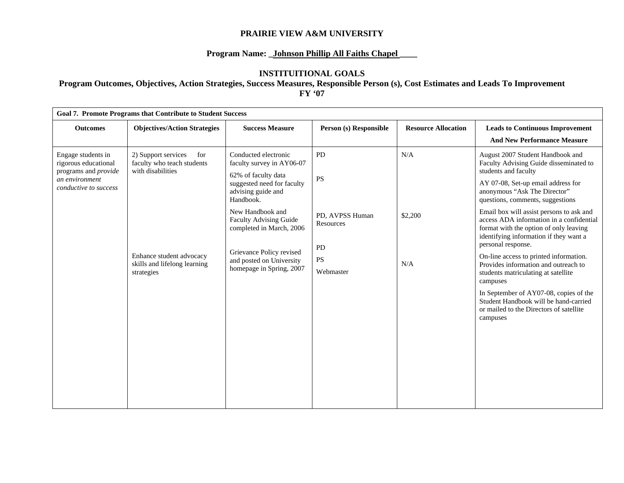## **Program Name: \_Johnson Phillip All Faiths Chapel \_\_\_\_**

#### **INSTITUITIONAL GOALS**

| <b>Goal 7. Promote Programs that Contribute to Student Success</b>                                            |                                                                                                                                                         |                                                                                                                                                                                                                                                                                                         |                                                                                 |                            |                                                                                                                                                                                                                                                                                                                                                                                                                                                                                                                                                                                                                                                                                               |  |  |  |  |
|---------------------------------------------------------------------------------------------------------------|---------------------------------------------------------------------------------------------------------------------------------------------------------|---------------------------------------------------------------------------------------------------------------------------------------------------------------------------------------------------------------------------------------------------------------------------------------------------------|---------------------------------------------------------------------------------|----------------------------|-----------------------------------------------------------------------------------------------------------------------------------------------------------------------------------------------------------------------------------------------------------------------------------------------------------------------------------------------------------------------------------------------------------------------------------------------------------------------------------------------------------------------------------------------------------------------------------------------------------------------------------------------------------------------------------------------|--|--|--|--|
| <b>Outcomes</b>                                                                                               | <b>Objectives/Action Strategies</b>                                                                                                                     | <b>Success Measure</b>                                                                                                                                                                                                                                                                                  | Person (s) Responsible                                                          | <b>Resource Allocation</b> | <b>Leads to Continuous Improvement</b><br><b>And New Performance Measure</b>                                                                                                                                                                                                                                                                                                                                                                                                                                                                                                                                                                                                                  |  |  |  |  |
| Engage students in<br>rigorous educational<br>programs and provide<br>an environment<br>conductive to success | 2) Support services<br>for<br>faculty who teach students<br>with disabilities<br>Enhance student advocacy<br>skills and lifelong learning<br>strategies | Conducted electronic<br>faculty survey in AY06-07<br>62% of faculty data<br>suggested need for faculty<br>advising guide and<br>Handbook.<br>New Handbook and<br>Faculty Advising Guide<br>completed in March, 2006<br>Grievance Policy revised<br>and posted on University<br>homepage in Spring, 2007 | PD<br><b>PS</b><br>PD, AVPSS Human<br>Resources<br>PD<br><b>PS</b><br>Webmaster | N/A<br>\$2,200<br>N/A      | August 2007 Student Handbook and<br>Faculty Advising Guide disseminated to<br>students and faculty<br>AY 07-08, Set-up email address for<br>anonymous "Ask The Director"<br>questions, comments, suggestions<br>Email box will assist persons to ask and<br>access ADA information in a confidential<br>format with the option of only leaving<br>identifying information if they want a<br>personal response.<br>On-line access to printed information.<br>Provides information and outreach to<br>students matriculating at satellite<br>campuses<br>In September of AY07-08, copies of the<br>Student Handbook will be hand-carried<br>or mailed to the Directors of satellite<br>campuses |  |  |  |  |
|                                                                                                               |                                                                                                                                                         |                                                                                                                                                                                                                                                                                                         |                                                                                 |                            |                                                                                                                                                                                                                                                                                                                                                                                                                                                                                                                                                                                                                                                                                               |  |  |  |  |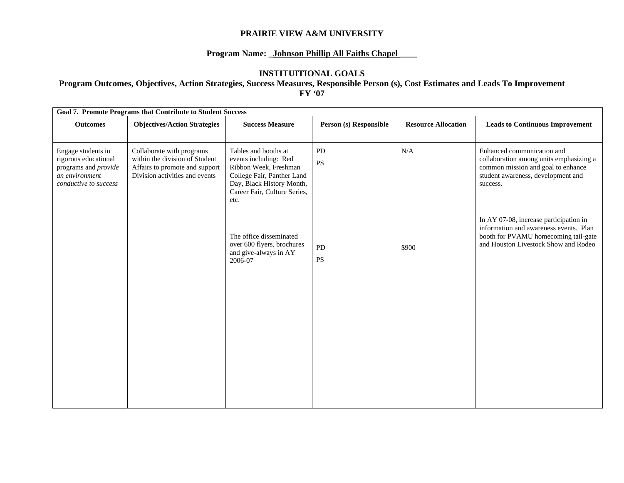## Program Name: \_Johnson Phillip All Faiths Chapel

#### **INSTITUITIONAL GOALS**

| <b>Goal 7. Promote Programs that Contribute to Student Success</b>                                            |                                                                                                                                 |                                                                                                                                                                           |                        |                            |                                                                                                                                                                  |  |  |  |  |
|---------------------------------------------------------------------------------------------------------------|---------------------------------------------------------------------------------------------------------------------------------|---------------------------------------------------------------------------------------------------------------------------------------------------------------------------|------------------------|----------------------------|------------------------------------------------------------------------------------------------------------------------------------------------------------------|--|--|--|--|
| <b>Outcomes</b>                                                                                               | <b>Objectives/Action Strategies</b>                                                                                             | <b>Success Measure</b>                                                                                                                                                    | Person (s) Responsible | <b>Resource Allocation</b> | <b>Leads to Continuous Improvement</b>                                                                                                                           |  |  |  |  |
| Engage students in<br>rigorous educational<br>programs and provide<br>an environment<br>conductive to success | Collaborate with programs<br>within the division of Student<br>Affairs to promote and support<br>Division activities and events | Tables and booths at<br>events including: Red<br>Ribbon Week, Freshman<br>College Fair, Panther Land<br>Day, Black History Month,<br>Career Fair, Culture Series,<br>etc. | PD<br><b>PS</b>        | N/A                        | Enhanced communication and<br>collaboration among units emphasizing a<br>common mission and goal to enhance<br>student awareness, development and<br>success.    |  |  |  |  |
|                                                                                                               |                                                                                                                                 | The office disseminated<br>over 600 flyers, brochures<br>and give-always in AY<br>2006-07                                                                                 | PD<br><b>PS</b>        | \$900                      | In AY 07-08, increase participation in<br>information and awareness events. Plan<br>booth for PVAMU homecoming tail-gate<br>and Houston Livestock Show and Rodeo |  |  |  |  |
|                                                                                                               |                                                                                                                                 |                                                                                                                                                                           |                        |                            |                                                                                                                                                                  |  |  |  |  |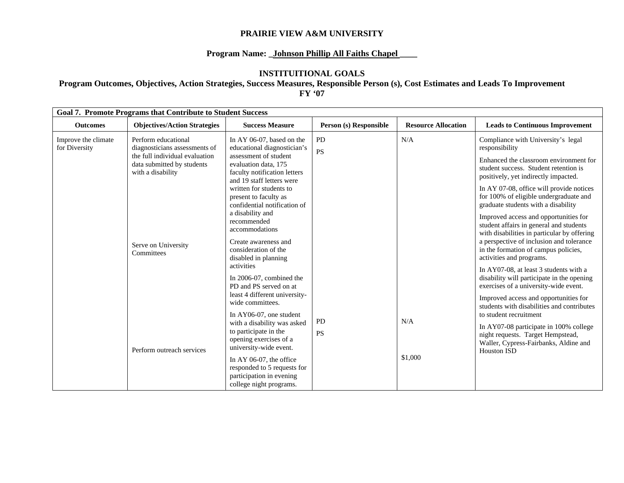## **Program Name: \_Johnson Phillip All Faiths Chapel \_\_\_\_**

#### **INSTITUITIONAL GOALS**

| <b>Goal 7. Promote Programs that Contribute to Student Success</b> |                                                                                                                                                                                |                                                                                                               |                        |                            |                                                                                                                                 |  |  |  |
|--------------------------------------------------------------------|--------------------------------------------------------------------------------------------------------------------------------------------------------------------------------|---------------------------------------------------------------------------------------------------------------|------------------------|----------------------------|---------------------------------------------------------------------------------------------------------------------------------|--|--|--|
| <b>Outcomes</b>                                                    | <b>Objectives/Action Strategies</b>                                                                                                                                            | <b>Success Measure</b>                                                                                        | Person (s) Responsible | <b>Resource Allocation</b> | <b>Leads to Continuous Improvement</b>                                                                                          |  |  |  |
| Improve the climate<br>for Diversity                               | Perform educational<br>diagnosticians assessments of<br>the full individual evaluation<br>data submitted by students<br>with a disability<br>Serve on University<br>Committees | In AY 06-07, based on the<br>educational diagnostician's                                                      | <b>PD</b><br>PS        | N/A                        | Compliance with University's legal<br>responsibility                                                                            |  |  |  |
|                                                                    |                                                                                                                                                                                | assessment of student<br>evaluation data, 175<br>faculty notification letters                                 |                        |                            | Enhanced the classroom environment for<br>student success. Student retention is<br>positively, yet indirectly impacted.         |  |  |  |
|                                                                    |                                                                                                                                                                                | and 19 staff letters were<br>written for students to<br>present to faculty as<br>confidential notification of |                        |                            | In AY 07-08, office will provide notices<br>for 100% of eligible undergraduate and<br>graduate students with a disability       |  |  |  |
|                                                                    |                                                                                                                                                                                | a disability and<br>recommended<br>accommodations                                                             |                        |                            | Improved access and opportunities for<br>student affairs in general and students<br>with disabilities in particular by offering |  |  |  |
|                                                                    |                                                                                                                                                                                | Create awareness and<br>consideration of the<br>disabled in planning                                          |                        |                            | a perspective of inclusion and tolerance<br>in the formation of campus policies,<br>activities and programs.                    |  |  |  |
|                                                                    |                                                                                                                                                                                | activities<br>In 2006-07, combined the<br>PD and PS served on at                                              |                        |                            | In AY07-08, at least 3 students with a<br>disability will participate in the opening<br>exercises of a university-wide event.   |  |  |  |
|                                                                    |                                                                                                                                                                                | least 4 different university-<br>wide committees.                                                             |                        |                            | Improved access and opportunities for<br>students with disabilities and contributes                                             |  |  |  |
|                                                                    | Perform outreach services                                                                                                                                                      | In AY06-07, one student<br>with a disability was asked                                                        | PD                     | N/A                        | to student recruitment<br>In AY07-08 participate in 100% college                                                                |  |  |  |
|                                                                    |                                                                                                                                                                                | to participate in the<br>opening exercises of a<br>university-wide event.                                     | <b>PS</b>              |                            | night requests. Target Hempstead,<br>Waller, Cypress-Fairbanks, Aldine and<br><b>Houston ISD</b>                                |  |  |  |
|                                                                    |                                                                                                                                                                                | In AY 06-07, the office<br>responded to 5 requests for<br>participation in evening<br>college night programs. |                        | \$1,000                    |                                                                                                                                 |  |  |  |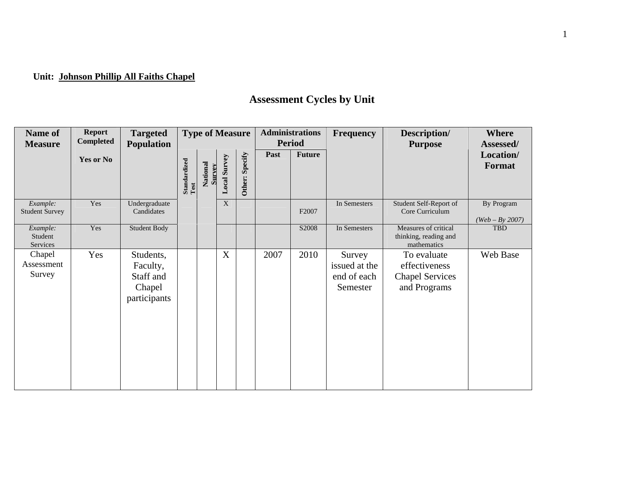# **Unit: Johnson Phillip All Faiths Chapel**

# **Assessment Cycles by Unit**

| Name of<br><b>Measure</b>         | <b>Report</b><br>Completed | <b>Targeted</b><br><b>Population</b>                         | <b>Type of Measure</b>             |                    | <b>Administrations</b><br><b>Period</b> |                | <b>Frequency</b> | Description/<br><b>Purpose</b> | <b>Where</b><br>Assessed/                          |                                                                        |                                 |
|-----------------------------------|----------------------------|--------------------------------------------------------------|------------------------------------|--------------------|-----------------------------------------|----------------|------------------|--------------------------------|----------------------------------------------------|------------------------------------------------------------------------|---------------------------------|
|                                   | Yes or No                  |                                                              | ${\bf Standardized} \\ {\bf Test}$ | National<br>Survey | <b>Local Survey</b>                     | Other: Specify | Past             | <b>Future</b>                  |                                                    |                                                                        | Location/<br>Format             |
| Example:<br><b>Student Survey</b> | Yes                        | Undergraduate<br>Candidates                                  |                                    |                    | X                                       |                |                  | F2007                          | In Semesters                                       | Student Self-Report of<br>Core Curriculum                              | By Program<br>$(Web - By 2007)$ |
| Example:<br>Student<br>Services   | Yes                        | Student Body                                                 |                                    |                    |                                         |                |                  | S2008                          | In Semesters                                       | Measures of critical<br>thinking, reading and<br>mathematics           | <b>TBD</b>                      |
| Chapel<br>Assessment<br>Survey    | Yes                        | Students,<br>Faculty,<br>Staff and<br>Chapel<br>participants |                                    |                    | $\mathbf X$                             |                | 2007             | 2010                           | Survey<br>issued at the<br>end of each<br>Semester | To evaluate<br>effectiveness<br><b>Chapel Services</b><br>and Programs | Web Base                        |